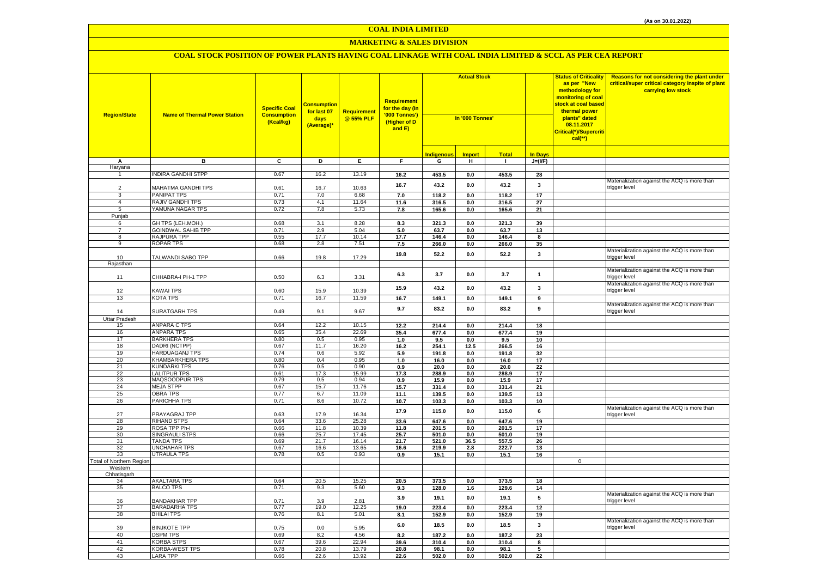# **MARKETING & SALES DIVISION**

| <b>Region/State</b>      | <b>Name of Thermal Power Station</b>     | <b>Specific Coal</b><br><b>Consumption</b><br>(Kcal/kg) | <b>Consumption</b><br>for last 07<br>days<br>(Average)* | Requirement<br>@ 55% PLF | Requirement<br>for the day (In<br>'000 Tonnes')<br>(Higher of D<br>and E) | <b>Actual Stock</b><br>In '000 Tonnes' |                 |                |                |             | Reasons for not considering the plant under<br>critical/super critical category inspite of plant<br>carrying low stock |
|--------------------------|------------------------------------------|---------------------------------------------------------|---------------------------------------------------------|--------------------------|---------------------------------------------------------------------------|----------------------------------------|-----------------|----------------|----------------|-------------|------------------------------------------------------------------------------------------------------------------------|
|                          |                                          |                                                         |                                                         |                          |                                                                           | <b>Indigenous</b>                      | <b>Import</b>   | <b>Total</b>   | <b>In Days</b> |             |                                                                                                                        |
| А<br>Haryana             | в                                        | C                                                       | D                                                       | E.                       | F.                                                                        | G                                      | н               | $\mathbf{L}$   | $J=(VF)$       |             |                                                                                                                        |
| $\mathbf{1}$             | <b>NDIRA GANDHI STPP</b>                 | 0.67                                                    | 16.2                                                    | 13.19                    | $16.2$                                                                    | 453.5                                  | $0.0\,$         | 453.5          | 28             |             |                                                                                                                        |
|                          |                                          |                                                         |                                                         |                          |                                                                           |                                        |                 |                |                |             | Materialization against the ACQ is more than                                                                           |
| $\overline{2}$           | MAHATMA GANDHI TPS                       | 0.61                                                    | 16.7                                                    | 10.63                    | 16.7                                                                      | 43.2                                   | 0.0             | 43.2           | 3              |             | trigger level                                                                                                          |
| 3                        | PANIPAT TPS                              | 0.71                                                    | 7.0                                                     | 6.68                     | 7.0                                                                       | 118.2                                  | 0.0             | 118.2          | 17             |             |                                                                                                                        |
| $\overline{4}$           | RAJIV GANDHI TPS                         | 0.73                                                    | 4.1                                                     | 11.64                    | 11.6                                                                      | 316.5                                  | $0.0\,$         | 316.5          | 27             |             |                                                                                                                        |
| 5                        | YAMUNA NAGAR TPS                         | 0.72                                                    | 7.8                                                     | 5.73                     | 7.8                                                                       | 165.6                                  | 0.0             | 165.6          | 21             |             |                                                                                                                        |
| Punjab                   |                                          |                                                         |                                                         |                          |                                                                           |                                        |                 |                |                |             |                                                                                                                        |
| 6<br>$\overline{7}$      | GH TPS (LEH.MOH.)                        | 0.68                                                    | 3.1                                                     | 8.28                     | 8.3                                                                       | 321.3                                  | $0.0\,$         | 321.3          | 39             |             |                                                                                                                        |
| $\overline{8}$           | <b>GOINDWAL SAHIB TPP</b><br>RAJPURA TPP | 0.71<br>0.55                                            | 2.9<br>17.7                                             | 5.04<br>10.14            | 5.0<br>17.7                                                               | 63.7<br>146.4                          | 0.0<br>0.0      | 63.7<br>146.4  | 13<br>8        |             |                                                                                                                        |
| 9                        | <b>ROPAR TPS</b>                         | 0.68                                                    | 2.8                                                     | 7.51                     | 7.5                                                                       | 266.0                                  | $0.0\,$         | 266.0          | 35             |             |                                                                                                                        |
|                          |                                          |                                                         |                                                         |                          |                                                                           |                                        |                 |                |                |             | Materialization against the ACQ is more than                                                                           |
| 10                       | TALWANDI SABO TPP                        | 0.66                                                    | 19.8                                                    | 17.29                    | 19.8                                                                      | 52.2                                   | 0.0             | 52.2           | 3              |             | trigger level                                                                                                          |
| Rajasthan                |                                          |                                                         |                                                         |                          |                                                                           |                                        |                 |                |                |             |                                                                                                                        |
|                          |                                          |                                                         |                                                         |                          | 6.3                                                                       | 3.7                                    | 0.0             | 3.7            | $\overline{1}$ |             | Materialization against the ACQ is more than                                                                           |
| 11                       | CHHABRA-I PH-1 TPP                       | 0.50                                                    | 6.3                                                     | 3.31                     |                                                                           |                                        |                 |                |                |             | trigger level                                                                                                          |
| 12                       | KAWAI TPS                                | 0.60                                                    | 15.9                                                    | 10.39                    | 15.9                                                                      | 43.2                                   | $0.0\,$         | 43.2           | 3              |             | Materialization against the ACQ is more than<br>trigger level                                                          |
| 13                       | KOTA TPS                                 | 0.71                                                    | 16.7                                                    | 11.59                    | 16.7                                                                      | 149.1                                  | 0.0             | 149.1          | 9              |             |                                                                                                                        |
|                          |                                          |                                                         |                                                         |                          |                                                                           |                                        |                 |                |                |             | Materialization against the ACQ is more than                                                                           |
| 14                       | SURATGARH TPS                            | 0.49                                                    | 9.1                                                     | 9.67                     | 9.7                                                                       | 83.2                                   | 0.0             | 83.2           | 9              |             | trigger level                                                                                                          |
| Uttar Pradesh            |                                          |                                                         |                                                         |                          |                                                                           |                                        |                 |                |                |             |                                                                                                                        |
| 15                       | ANPARA C TPS                             | 0.64                                                    | 12.2                                                    | 10.15                    | 12.2                                                                      | 214.4                                  | 0.0             | 214.4          | 18             |             |                                                                                                                        |
| 16                       | <b>ANPARA TPS</b>                        | 0.65                                                    | 35.4                                                    | 22.69                    | 35.4                                                                      | 677.4                                  | 0.0             | 677.4          | 19             |             |                                                                                                                        |
| 17                       | <b>BARKHERA TPS</b>                      | 0.80                                                    | 0.5<br>11.7                                             | 0.95                     | 1.0                                                                       | 9.5                                    | 0.0             | 9.5            | 10             |             |                                                                                                                        |
| 18<br>19                 | DADRI (NCTPP)<br><b>HARDUAGANJ TPS</b>   | 0.67<br>0.74                                            | 0.6                                                     | 16.20<br>5.92            | 16.2<br>5.9                                                               | 254.1<br>191.8                         | 12.5<br>$0.0\,$ | 266.5<br>191.8 | 16<br>32       |             |                                                                                                                        |
| 20                       | KHAMBARKHERA TPS                         | 0.80                                                    | 0.4                                                     | 0.95                     | 1.0                                                                       | 16.0                                   | 0.0             | 16.0           | 17             |             |                                                                                                                        |
| 21                       | KUNDARKI TPS                             | 0.76                                                    | 0.5                                                     | 0.90                     | 0.9                                                                       | 20.0                                   | 0.0             | 20.0           | 22             |             |                                                                                                                        |
| $\overline{22}$          | <b>LALITPUR TPS</b>                      | 0.61                                                    | 17.3                                                    | 15.99                    | 17.3                                                                      | 288.9                                  | 0.0             | 288.9          | 17             |             |                                                                                                                        |
| 23                       | MAQSOODPUR TPS                           | 0.79                                                    | 0.5                                                     | 0.94                     | 0.9                                                                       | 15.9                                   | 0.0             | 15.9           | 17             |             |                                                                                                                        |
| 24                       | <b>MEJA STPP</b>                         | 0.67                                                    | 15.7                                                    | 11.76                    | 15.7                                                                      | 331.4                                  | 0.0             | 331.4          | 21             |             |                                                                                                                        |
| 25                       | <b>OBRA TPS</b>                          | 0.77                                                    | 6.7                                                     | 11.09                    | 11.1                                                                      | 139.5                                  | 0.0             | 139.5          | 13             |             |                                                                                                                        |
| 26                       | PARICHHA TPS                             | 0.71                                                    | 8.6                                                     | 10.72                    | 10.7                                                                      | 103.3                                  | 0.0             | 103.3          | 10             |             | Materialization against the ACQ is more than                                                                           |
| 27                       | PRAYAGRAJ TPP                            | 0.63                                                    | 17.9                                                    | 16.34                    | 17.9                                                                      | 115.0                                  | 0.0             | 115.0          | 6              |             | trigger level                                                                                                          |
| 28                       | <b>RIHAND STPS</b>                       | 0.64                                                    | 33.6                                                    | 25.28                    | 33.6                                                                      | 647.6                                  | 0.0             | 647.6          | 19             |             |                                                                                                                        |
| 29                       | ROSA TPP Ph-I                            | 0.66                                                    | 11.8                                                    | 10.39                    | 11.8                                                                      | 201.5                                  | 0.0             | 201.5          | 17             |             |                                                                                                                        |
| 30                       | <b>SINGRAULI STPS</b>                    | 0.66                                                    | 25.7                                                    | 17.45                    | 25.7                                                                      | 501.0                                  | $0.0\,$         | 501.0          | 19             |             |                                                                                                                        |
| 31<br>32                 | <b>TANDA TPS</b>                         | 0.69<br>0.67                                            | 21.7                                                    | 16.14                    | 21.7                                                                      | 521.0                                  | 36.5            | 557.5<br>222.7 | 26             |             |                                                                                                                        |
| 33                       | UNCHAHAR TPS<br><b>UTRAULA TPS</b>       | 0.78                                                    | 16.6<br>0.5                                             | 13.65<br>0.93            | 16.6<br>0.9                                                               | 219.9<br>15.1                          | 2.8<br>0.0      | 15.1           | 13<br>16       |             |                                                                                                                        |
| Total of Northern Region |                                          |                                                         |                                                         |                          |                                                                           |                                        |                 |                |                | $\mathbf 0$ |                                                                                                                        |
| Western                  |                                          |                                                         |                                                         |                          |                                                                           |                                        |                 |                |                |             |                                                                                                                        |
| Chhatisgarh              |                                          |                                                         |                                                         |                          |                                                                           |                                        |                 |                |                |             |                                                                                                                        |
| 34                       | <b>AKALTARA TPS</b>                      | 0.64                                                    | 20.5                                                    | 15.25                    | 20.5                                                                      | 373.5                                  | 0.0             | 373.5          | 18             |             |                                                                                                                        |
| 35                       | <b>BALCO TPS</b>                         | 0.71                                                    | 9.3                                                     | 5.60                     | 9.3                                                                       | 128.0                                  | 1.6             | 129.6          | 14             |             | Materialization against the ACQ is more than                                                                           |
| 36                       | <b>BANDAKHAR TPP</b>                     | 0.71                                                    | 3.9                                                     | 2.81                     | 3.9                                                                       | 19.1                                   | 0.0             | 19.1           | 5              |             | trigger level                                                                                                          |
| 37                       | BARADARHA TPS                            | 0.77                                                    | 19.0                                                    | 12.25                    | 19.0                                                                      | 223.4                                  | $0.0\,$         | 223.4          | 12             |             |                                                                                                                        |
| 38                       | <b>BHILAI TPS</b>                        | 0.76                                                    | 8.1                                                     | 5.01                     | 8.1                                                                       | 152.9                                  | 0.0             | 152.9          | 19             |             |                                                                                                                        |
|                          |                                          |                                                         |                                                         |                          | 6.0                                                                       | 18.5                                   | 0.0             | 18.5           | 3              |             | Materialization against the ACQ is more than                                                                           |
| 39                       | <b>BINJKOTE TPP</b>                      | 0.75                                                    | 0.0                                                     | 5.95                     |                                                                           |                                        |                 |                |                |             | trigger level                                                                                                          |
| 40                       | <b>DSPM TPS</b>                          | 0.69                                                    | 8.2                                                     | 4.56                     | 8.2                                                                       | 187.2                                  | 0.0             | 187.2          | 23             |             |                                                                                                                        |
| 41<br>42                 | KORBA STPS<br>KORBA-WEST TPS             | 0.67<br>0.78                                            | 39.6<br>20.8                                            | 22.94<br>13.79           | 39.6<br>20.8                                                              | 310.4<br>98.1                          | 0.0<br>0.0      | 310.4<br>98.1  | 8<br>5         |             |                                                                                                                        |
| 43                       | <b>LARA TPP</b>                          | 0.66                                                    | 22.6                                                    | 13.92                    | 22.6                                                                      | 502.0                                  | 0.0             | 502.0          | 22             |             |                                                                                                                        |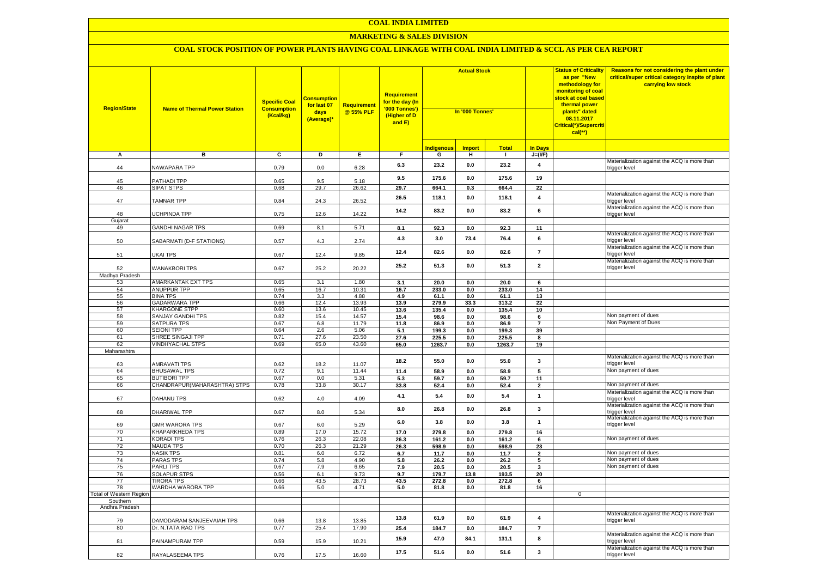### **MARKETING & SALES DIVISION**

| <b>Region/State</b>        | <b>Name of Thermal Power Station</b>     | <b>Specific Coal</b><br><b>Consumption</b><br>(Kcal/kg) | <b>Consumption</b><br>for last 07<br>days<br>(Average)* | Requirement<br>@ 55% PLF | <b>Requirement</b><br><mark>for the day (In</mark><br>'000 Tonnes')<br>(Higher of D<br>and E) | <b>Actual Stock</b><br>In '000 Tonnes' |               |               |                         | <b>Status of Criticality</b><br>as per "New<br>methodology for<br>monitoring of coal<br><mark>stock at coal based</mark><br>thermal power<br>plants" dated<br>08.11.2017<br>Critical(*)/Supercriti<br>$cal$ (**) | Reasons for not considering the plant under<br>critical/super critical category inspite of plant<br>carrying low stock |
|----------------------------|------------------------------------------|---------------------------------------------------------|---------------------------------------------------------|--------------------------|-----------------------------------------------------------------------------------------------|----------------------------------------|---------------|---------------|-------------------------|------------------------------------------------------------------------------------------------------------------------------------------------------------------------------------------------------------------|------------------------------------------------------------------------------------------------------------------------|
|                            |                                          |                                                         |                                                         |                          |                                                                                               | <b>Indigenous</b>                      | <b>Import</b> | <b>Total</b>  | <b>In Days</b>          |                                                                                                                                                                                                                  |                                                                                                                        |
| A                          | в                                        | C                                                       | D                                                       | Е.                       | F.                                                                                            | G                                      | н             | л.            | $J=(VF)$                |                                                                                                                                                                                                                  |                                                                                                                        |
| 44                         | NAWAPARA TPP                             | 0.79                                                    | 0.0                                                     | 6.28                     | 6.3                                                                                           | 23.2                                   | 0.0           | 23.2          | $\overline{\mathbf{4}}$ |                                                                                                                                                                                                                  | Materialization against the ACQ is more than<br>trigger level                                                          |
| 45                         | PATHADI TPP                              | 0.65                                                    | 9.5                                                     | 5.18                     | 9.5                                                                                           | 175.6                                  | 0.0           | 175.6         | 19                      |                                                                                                                                                                                                                  |                                                                                                                        |
| 46                         | <b>SIPAT STPS</b>                        | 0.68                                                    | 29.7                                                    | 26.62                    | 29.7                                                                                          | 664.1                                  | 0.3           | 664.4         | $\overline{22}$         |                                                                                                                                                                                                                  |                                                                                                                        |
| 47                         | <b>TAMNAR TPP</b>                        | 0.84                                                    | 24.3                                                    | 26.52                    | 26.5                                                                                          | 118.1                                  | 0.0           | 118.1         | $\overline{\mathbf{4}}$ |                                                                                                                                                                                                                  | Materialization against the ACQ is more than<br>trigger level                                                          |
| 48                         | <b>JCHPINDA TPP</b>                      | 0.75                                                    | 12.6                                                    | 14.22                    | 14.2                                                                                          | 83.2                                   | 0.0           | 83.2          | 6                       |                                                                                                                                                                                                                  | Materialization against the ACQ is more than<br>trigger level                                                          |
| Gujarat                    |                                          |                                                         |                                                         |                          |                                                                                               |                                        |               |               |                         |                                                                                                                                                                                                                  |                                                                                                                        |
| 49                         | <b>GANDHI NAGAR TPS</b>                  | 0.69                                                    | 8.1                                                     | 5.71                     | 8.1                                                                                           | 92.3                                   | 0.0           | 92.3          | 11                      |                                                                                                                                                                                                                  | Materialization against the ACQ is more than                                                                           |
| 50                         | SABARMATI (D-F STATIONS)                 | 0.57                                                    | $4.3\,$                                                 | 2.74                     | 4.3                                                                                           | 3.0                                    | 73.4          | 76.4          | 6                       |                                                                                                                                                                                                                  | trigger level<br>Materialization against the ACQ is more than                                                          |
| 51                         | UKAI TPS                                 | 0.67                                                    | 12.4                                                    | 9.85                     | 12.4                                                                                          | 82.6                                   | 0.0           | 82.6          | $\overline{7}$          |                                                                                                                                                                                                                  | trigger level                                                                                                          |
| 52                         | <b>WANAKBORI TPS</b>                     | 0.67                                                    | 25.2                                                    | 20.22                    | 25.2                                                                                          | 51.3                                   | 0.0           | 51.3          | $\overline{\mathbf{2}}$ |                                                                                                                                                                                                                  | Materialization against the ACQ is more than<br>trigger level                                                          |
| Madhya Pradesh             |                                          |                                                         |                                                         |                          |                                                                                               |                                        |               |               |                         |                                                                                                                                                                                                                  |                                                                                                                        |
| 53                         | AMARKANTAK EXT TPS<br><b>ANUPPUR TPP</b> | 0.65                                                    | 3.1                                                     | 1.80                     | 3.1                                                                                           | 20.0                                   | 0.0           | 20.0          | 6                       |                                                                                                                                                                                                                  |                                                                                                                        |
| 54<br>55                   | <b>BINA TPS</b>                          | 0.65<br>0.74                                            | 16.7<br>3.3                                             | 10.31<br>4.88            | 16.7<br>4.9                                                                                   | 233.0<br>61.1                          | 0.0<br>0.0    | 233.0<br>61.1 | 14<br>13                |                                                                                                                                                                                                                  |                                                                                                                        |
| 56                         | <b>GADARWARA TPP</b>                     | 0.66                                                    | 12.4                                                    | 13.93                    | 13.9                                                                                          | 279.9                                  | 33.3          | 313.2         | 22                      |                                                                                                                                                                                                                  |                                                                                                                        |
| 57                         | <b>KHARGONE STPP</b>                     | 0.60                                                    | 13.6                                                    | 10.45                    | 13.6                                                                                          | 135.4                                  | 0.0           | 135.4         | 10                      |                                                                                                                                                                                                                  |                                                                                                                        |
| 58                         | SANJAY GANDHI TPS                        | 0.82                                                    | 15.4                                                    | 14.57                    | 15.4                                                                                          | 98.6                                   | 0.0           | 98.6          | 6                       |                                                                                                                                                                                                                  | Non payment of dues                                                                                                    |
| 59                         | <b>SATPURA TPS</b>                       | 0.67                                                    | 6.8                                                     | 11.79                    | 11.8                                                                                          | 86.9                                   | 0.0           | 86.9          | $\overline{7}$          |                                                                                                                                                                                                                  | Non Payment of Dues                                                                                                    |
| 60                         | <b>SEIONI TPP</b>                        | 0.64                                                    | 2.6                                                     | 5.06                     | 5.1                                                                                           | 199.3                                  | 0.0           | 199.3         | 39                      |                                                                                                                                                                                                                  |                                                                                                                        |
| 61                         | SHREE SINGAJI TPP                        | 0.71                                                    | 27.6                                                    | 23.50                    | 27.6                                                                                          | 225.5                                  | 0.0           | 225.5         | 8                       |                                                                                                                                                                                                                  |                                                                                                                        |
| 62                         | <b>VINDHYACHAL STPS</b>                  | 0.69                                                    | 65.0                                                    | 43.60                    | 65.0                                                                                          | 1263.7                                 | 0.0           | 1263.7        | 19                      |                                                                                                                                                                                                                  |                                                                                                                        |
| Maharashtra                |                                          |                                                         |                                                         |                          |                                                                                               |                                        |               |               |                         |                                                                                                                                                                                                                  |                                                                                                                        |
| 63                         | AMRAVATI TPS                             | 0.62                                                    | 18.2                                                    | 11.07                    | 18.2                                                                                          | 55.0                                   | 0.0           | 55.0          | 3                       |                                                                                                                                                                                                                  | Materialization against the ACQ is more than<br>trigger level                                                          |
| 64                         | <b>BHUSAWAL TPS</b>                      | 0.72                                                    | 9.1                                                     | 11.44                    | 11.4                                                                                          | 58.9                                   | 0.0           | 58.9          | 5                       |                                                                                                                                                                                                                  | Non payment of dues                                                                                                    |
| 65                         | <b>BUTIBORI TPP</b>                      | 0.67                                                    | 0.0                                                     | 5.31                     | 5.3                                                                                           | 59.7                                   | $0.0\,$       | 59.7          | 11                      |                                                                                                                                                                                                                  |                                                                                                                        |
| 66                         | CHANDRAPUR (MAHARASHTRA) STPS            | 0.78                                                    | 33.8                                                    | 30.17                    | 33.8                                                                                          | 52.4                                   | 0.0           | 52.4          | $\overline{2}$          |                                                                                                                                                                                                                  | Von payment of dues                                                                                                    |
| 67                         | DAHANU TPS                               | 0.62                                                    | 4.0                                                     | 4.09                     | 4.1                                                                                           | 5.4                                    | 0.0           | 5.4           | $\mathbf 1$             |                                                                                                                                                                                                                  | Materialization against the ACQ is more than<br>trigger level<br>Materialization against the ACQ is more than          |
| 68                         | DHARIWAL TPP                             | 0.67                                                    | 8.0                                                     | 5.34                     | 8.0                                                                                           | 26.8                                   | 0.0           | 26.8          | 3                       |                                                                                                                                                                                                                  | trigger level<br>Materialization against the ACQ is more than                                                          |
| 69<br>70                   | <b>GMR WARORA TPS</b><br>KHAPARKHEDA TPS | 0.67<br>0.89                                            | 6.0<br>17.0                                             | 5.29<br>15.72            | 6.0<br>17.0                                                                                   | 3.8<br>279.8                           | 0.0<br>0.0    | 3.8<br>279.8  | $\mathbf{1}$<br>16      |                                                                                                                                                                                                                  | trigger level                                                                                                          |
| 71                         | <b>KORADI TPS</b>                        | 0.76                                                    | 26.3                                                    | 22.08                    | 26.3                                                                                          | 161.2                                  | 0.0           | 161.2         | 6                       |                                                                                                                                                                                                                  | Non payment of dues                                                                                                    |
| 72                         | <b>MAUDA TPS</b>                         | 0.70                                                    | 26.3                                                    | 21.29                    | 26.3                                                                                          | 598.9                                  | 0.0           | 598.9         | 23                      |                                                                                                                                                                                                                  |                                                                                                                        |
| 73                         | NASIK TPS                                | 0.81                                                    | 6.0                                                     | 6.72                     | 6.7                                                                                           | 11.7                                   | 0.0           | 11.7          | $\mathbf{2}$            |                                                                                                                                                                                                                  | Non payment of dues                                                                                                    |
| 74                         | PARAS TPS                                | 0.74                                                    | 5.8                                                     | 4.90                     | 5.8                                                                                           | 26.2                                   | 0.0           | 26.2          | 5                       |                                                                                                                                                                                                                  | Non payment of dues                                                                                                    |
| 75                         | <b>PARLITPS</b>                          | 0.67                                                    | 7.9                                                     | 6.65                     | 7.9                                                                                           | 20.5                                   | 0.0           | 20.5          | 3                       |                                                                                                                                                                                                                  | Non payment of dues                                                                                                    |
| 76                         | <b>SOLAPUR STPS</b>                      | 0.56                                                    | 6.1                                                     | 9.73                     | 9.7                                                                                           | 179.7                                  | 13.8          | 193.5         | 20                      |                                                                                                                                                                                                                  |                                                                                                                        |
| 77                         | <b>TIRORA TPS</b>                        | 0.66                                                    | 43.5                                                    | 28.73                    | 43.5                                                                                          | 272.8                                  | 0.0           | 272.8         | 6                       |                                                                                                                                                                                                                  |                                                                                                                        |
| 78                         | WARDHA WARORA TPP                        | 0.66                                                    | 5.0                                                     | 4.71                     | 5.0                                                                                           | 81.8                                   | $0.0\,$       | 81.8          | 16                      |                                                                                                                                                                                                                  |                                                                                                                        |
| Total of Western Region    |                                          |                                                         |                                                         |                          |                                                                                               |                                        |               |               |                         | $\mathbf 0$                                                                                                                                                                                                      |                                                                                                                        |
| Southern<br>Andhra Pradesh |                                          |                                                         |                                                         |                          |                                                                                               |                                        |               |               |                         |                                                                                                                                                                                                                  |                                                                                                                        |
| 79                         | DAMODARAM SANJEEVAIAH TPS                | 0.66                                                    | 13.8                                                    | 13.85                    | 13.8                                                                                          | 61.9                                   | 0.0           | 61.9          | $\pmb{4}$               |                                                                                                                                                                                                                  | Materialization against the ACQ is more than<br>trigger level                                                          |
| 80                         | Dr. N.TATA RAO TPS                       | 0.77                                                    | 25.4                                                    | 17.90                    | 25.4                                                                                          | 184.7                                  | 0.0           | 184.7         | $\overline{7}$          |                                                                                                                                                                                                                  |                                                                                                                        |
| 81                         | PAINAMPURAM TPP                          | 0.59                                                    | 15.9                                                    | 10.21                    | 15.9                                                                                          | 47.0                                   | 84.1          | 131.1         | 8                       |                                                                                                                                                                                                                  | Materialization against the ACQ is more than<br>trigger level                                                          |
| 82                         | RAYALASEEMA TPS                          | 0.76                                                    | 17.5                                                    | 16.60                    | 17.5                                                                                          | 51.6                                   | 0.0           | 51.6          | 3                       |                                                                                                                                                                                                                  | Materialization against the ACQ is more than<br>trigger level                                                          |
|                            |                                          |                                                         |                                                         |                          |                                                                                               |                                        |               |               |                         |                                                                                                                                                                                                                  |                                                                                                                        |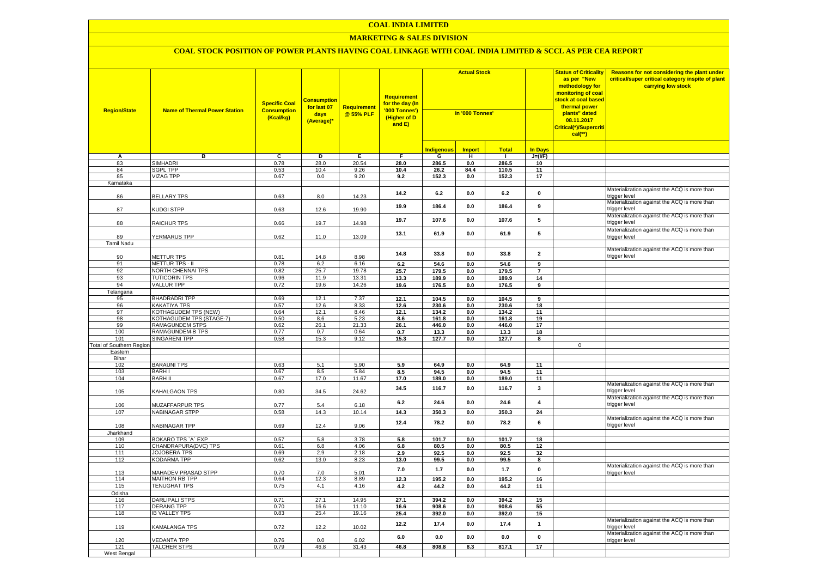### **MARKETING & SALES DIVISION**

| <b>Region/State</b>                    | <b>Name of Thermal Power Station</b>        | <b>Specific Coal</b><br><b>Consumption</b><br>(Kcal/kg) | <b>Consumptior</b><br>for last 07<br>days<br>(Average)* | <b>Requirement</b><br>@ 55% PLF | <b>Requirement</b><br>for the day (In<br>'000 Tonnes')<br>(Higher of D<br>and E) | <b>Actual Stock</b><br>In '000 Tonnes' |                |                | <b>Status of Criticality</b><br>as per "New<br>methodology for<br>monitoring of coal<br><mark>stock at coal based</mark><br>thermal power<br>plants" dated<br>08.11.2017<br>Critical(*)/Supercriti<br>$cal$ (**) | Reasons for not considering the plant under<br>critical/super critical category inspite of plant<br>carrying low stock |                                                               |
|----------------------------------------|---------------------------------------------|---------------------------------------------------------|---------------------------------------------------------|---------------------------------|----------------------------------------------------------------------------------|----------------------------------------|----------------|----------------|------------------------------------------------------------------------------------------------------------------------------------------------------------------------------------------------------------------|------------------------------------------------------------------------------------------------------------------------|---------------------------------------------------------------|
|                                        |                                             |                                                         |                                                         |                                 |                                                                                  | <b>Indigenous</b>                      | <b>Import</b>  | <b>Total</b>   | <b>In Davs</b>                                                                                                                                                                                                   |                                                                                                                        |                                                               |
| А                                      | в                                           | $\overline{c}$                                          | Þ                                                       | E                               | $\overline{F}$                                                                   | G                                      | н              | $\blacksquare$ | $J=(VF)$                                                                                                                                                                                                         |                                                                                                                        |                                                               |
| 83                                     | <b>SIMHADRI</b>                             | 0.78                                                    | 28.0                                                    | 20.54                           | 28.0                                                                             | 286.5                                  | 0.0            | 286.5          | 10                                                                                                                                                                                                               |                                                                                                                        |                                                               |
| 84                                     | <b>SGPL TPP</b>                             | 0.53                                                    | 10.4                                                    | 9.26                            | 10.4                                                                             | 26.2                                   | 84.4           | 110.5          | 11                                                                                                                                                                                                               |                                                                                                                        |                                                               |
| 85                                     | <b>VIZAG TPP</b>                            | 0.67                                                    | 0.0                                                     | 9.20                            | 9.2                                                                              | 152.3                                  | 0.0            | 152.3          | 17                                                                                                                                                                                                               |                                                                                                                        |                                                               |
| Karnataka                              |                                             |                                                         |                                                         |                                 |                                                                                  |                                        |                |                |                                                                                                                                                                                                                  |                                                                                                                        |                                                               |
| 86                                     | <b>BELLARY TPS</b>                          | 0.63                                                    | 8.0                                                     | 14.23                           | 14.2                                                                             | 6.2                                    | $0.0\,$        | 6.2            | $\mathbf 0$                                                                                                                                                                                                      |                                                                                                                        | Materialization against the ACQ is more than<br>trigger level |
| 87                                     | KUDGI STPP                                  | 0.63                                                    | 12.6                                                    | 19.90                           | 19.9                                                                             | 186.4                                  | 0.0            | 186.4          | 9                                                                                                                                                                                                                |                                                                                                                        | Materialization against the ACQ is more than<br>trigger level |
| 88                                     | <b>RAICHUR TPS</b>                          | 0.66                                                    | 19.7                                                    | 14.98                           | 19.7                                                                             | 107.6                                  | 0.0            | 107.6          | 5                                                                                                                                                                                                                |                                                                                                                        | Materialization against the ACQ is more than<br>rigger level  |
|                                        |                                             |                                                         |                                                         |                                 | 13.1                                                                             | 61.9                                   | 0.0            | 61.9           | 5                                                                                                                                                                                                                |                                                                                                                        | Materialization against the ACQ is more than                  |
| 89                                     | YERMARUS TPP                                | 0.62                                                    | 11.0                                                    | 13.09                           |                                                                                  |                                        |                |                |                                                                                                                                                                                                                  |                                                                                                                        | rigger level                                                  |
| Tamil Nadu                             |                                             |                                                         |                                                         |                                 |                                                                                  |                                        |                |                |                                                                                                                                                                                                                  |                                                                                                                        | Materialization against the ACQ is more than                  |
| 90                                     | <b>METTUR TPS</b>                           | 0.81                                                    | 14.8                                                    | 8.98                            | 14.8                                                                             | 33.8                                   | 0.0            | 33.8           | $\overline{\mathbf{2}}$                                                                                                                                                                                          |                                                                                                                        | trigger level                                                 |
| 91                                     | METTUR TPS - II                             | 0.78                                                    | 6.2                                                     | 6.16                            | 6.2                                                                              | 54.6                                   | 0.0            | 54.6           | 9                                                                                                                                                                                                                |                                                                                                                        |                                                               |
| 92                                     | NORTH CHENNAI TPS                           | 0.82                                                    | 25.7                                                    | 19.78                           | 25.7                                                                             | 179.5                                  | 0.0            | 179.5          | $\overline{7}$                                                                                                                                                                                                   |                                                                                                                        |                                                               |
| 93                                     | <b>TUTICORIN TPS</b>                        | 0.96                                                    | 11.9                                                    | 13.31                           | 13.3                                                                             | 189.9                                  | 0.0            | 189.9          | 14                                                                                                                                                                                                               |                                                                                                                        |                                                               |
| 94                                     | <b>VALLUR TPP</b>                           | 0.72                                                    | 19.6                                                    | 14.26                           | 19.6                                                                             | 176.5                                  | $0.0\,$        | 176.5          | 9                                                                                                                                                                                                                |                                                                                                                        |                                                               |
| Telangana                              |                                             |                                                         |                                                         |                                 |                                                                                  |                                        |                |                |                                                                                                                                                                                                                  |                                                                                                                        |                                                               |
| 95                                     | <b>BHADRADRI TPP</b>                        | 0.69                                                    | 12.1                                                    | 7.37                            | 12.1                                                                             | 104.5                                  | 0.0            | 104.5          | $\overline{9}$                                                                                                                                                                                                   |                                                                                                                        |                                                               |
| 96                                     | <b>KAKATIYA TPS</b>                         | 0.57                                                    | 12.6                                                    | 8.33                            | 12.6                                                                             | 230.6                                  | 0.0            | 230.6          | 18                                                                                                                                                                                                               |                                                                                                                        |                                                               |
| 97                                     | KOTHAGUDEM TPS (NEW)                        | 0.64                                                    | 12.1                                                    | 8.46                            | 12.1                                                                             | 134.2                                  | 0.0            | 134.2          | 11                                                                                                                                                                                                               |                                                                                                                        |                                                               |
| 98                                     | KOTHAGUDEM TPS (STAGE-7)                    | 0.50                                                    | 8.6                                                     | 5.23                            | 8.6                                                                              | 161.8                                  | 0.0            | 161.8          | 19                                                                                                                                                                                                               |                                                                                                                        |                                                               |
| 99                                     | RAMAGUNDEM STPS                             | 0.62                                                    | 26.1                                                    | 21.33                           | 26.1                                                                             | 446.0                                  | 0.0            | 446.0          | 17                                                                                                                                                                                                               |                                                                                                                        |                                                               |
| 100                                    | RAMAGUNDEM-B TPS                            | 0.77                                                    | 0.7                                                     | 0.64<br>9.12                    | 0.7                                                                              | 13.3                                   | 0.0            | 13.3           | 18<br>8                                                                                                                                                                                                          |                                                                                                                        |                                                               |
| 101<br><b>Total of Southern Region</b> | <b>SINGARENI TPP</b>                        | 0.58                                                    | 15.3                                                    |                                 | 15.3                                                                             | 127.7                                  | $0.0\,$        | 127.7          |                                                                                                                                                                                                                  | $\mathbf 0$                                                                                                            |                                                               |
| Eastern                                |                                             |                                                         |                                                         |                                 |                                                                                  |                                        |                |                |                                                                                                                                                                                                                  |                                                                                                                        |                                                               |
| Bihar                                  |                                             |                                                         |                                                         |                                 |                                                                                  |                                        |                |                |                                                                                                                                                                                                                  |                                                                                                                        |                                                               |
| 102                                    | <b>BARAUNI TPS</b>                          | 0.63                                                    | 5.1                                                     | 5.90                            | 5.9                                                                              | 64.9                                   | 0.0            | 64.9           | 11                                                                                                                                                                                                               |                                                                                                                        |                                                               |
| 103                                    | <b>BARHI</b>                                | 0.67                                                    | 8.5                                                     | 5.84                            | 8.5                                                                              | 94.5                                   | 0.0            | 94.5           | 11                                                                                                                                                                                                               |                                                                                                                        |                                                               |
| 104                                    | <b>BARH II</b>                              | 0.67                                                    | 17.0                                                    | 11.67                           | 17.0                                                                             | 189.0                                  | 0.0            | 189.0          | 11                                                                                                                                                                                                               |                                                                                                                        |                                                               |
| 105                                    | KAHALGAON TPS                               | 0.80                                                    | 34.5                                                    | 24.62                           | 34.5                                                                             | 116.7                                  | 0.0            | 116.7          | 3                                                                                                                                                                                                                |                                                                                                                        | Materialization against the ACQ is more than<br>rigger level: |
| 106                                    | <b>MUZAFFARPUR TPS</b>                      | 0.77                                                    | 5.4                                                     | 6.18                            | 6.2                                                                              | 24.6                                   | 0.0            | 24.6           | $\overline{\mathbf{4}}$                                                                                                                                                                                          |                                                                                                                        | Materialization against the ACQ is more than<br>rigger level  |
| 107                                    | <b>NABINAGAR STPP</b>                       | 0.58                                                    | 14.3                                                    | 10.14                           | 14.3                                                                             | 350.3                                  | 0.0            | 350.3          | 24                                                                                                                                                                                                               |                                                                                                                        |                                                               |
| 108                                    | NABINAGAR TPP                               | 0.69                                                    | 12.4                                                    | 9.06                            | 12.4                                                                             | 78.2                                   | 0.0            | 78.2           | 6                                                                                                                                                                                                                |                                                                                                                        | Materialization against the ACQ is more than<br>rigger level  |
| Jharkhand                              |                                             |                                                         |                                                         |                                 |                                                                                  |                                        |                |                |                                                                                                                                                                                                                  |                                                                                                                        |                                                               |
| 109                                    | BOKARO TPS 'A' EXP                          | 0.57                                                    | 5.8                                                     | 3.78                            | 5.8                                                                              | 101.7                                  | $0.0\,$        | 101.7          | 18                                                                                                                                                                                                               |                                                                                                                        |                                                               |
| 110<br>111                             | CHANDRAPURA(DVC) TPS<br><b>JOJOBERA TPS</b> | 0.61<br>0.69                                            | 6.8<br>2.9                                              | 4.06<br>2.18                    | 6.8<br>2.9                                                                       | 80.5<br>92.5                           | $0.0\,$<br>0.0 | 80.5<br>92.5   | 12<br>32                                                                                                                                                                                                         |                                                                                                                        |                                                               |
| 112                                    | KODARMA TPP                                 | 0.62                                                    | 13.0                                                    | 8.23                            | 13.0                                                                             | 99.5                                   | $0.0\,$        | 99.5           | 8                                                                                                                                                                                                                |                                                                                                                        |                                                               |
|                                        |                                             |                                                         |                                                         |                                 |                                                                                  |                                        |                |                |                                                                                                                                                                                                                  |                                                                                                                        | Materialization against the ACQ is more than                  |
| 113                                    | MAHADEV PRASAD STPP                         | 0.70                                                    | 7.0                                                     | 5.01                            | $7.0$                                                                            | $1.7$                                  | $0.0\,$        | $1.7$          | $\pmb{0}$                                                                                                                                                                                                        |                                                                                                                        | rigger level                                                  |
| 114                                    | <b>MAITHON RB TPP</b>                       | 0.64                                                    | 12.3                                                    | 8.89                            | 12.3                                                                             | 195.2                                  | 0.0            | 195.2          | 16                                                                                                                                                                                                               |                                                                                                                        |                                                               |
| 115                                    | <b>TENUGHAT TPS</b>                         | 0.75                                                    | 4.1                                                     | 4.16                            | 4.2                                                                              | 44.2                                   | 0.0            | 44.2           | 11                                                                                                                                                                                                               |                                                                                                                        |                                                               |
| Odisha                                 |                                             |                                                         |                                                         |                                 |                                                                                  |                                        |                |                |                                                                                                                                                                                                                  |                                                                                                                        |                                                               |
| 116                                    | <b>DARLIPALI STPS</b>                       | 0.71                                                    | 27.1                                                    | 14.95                           | 27.1                                                                             | 394.2                                  | 0.0            | 394.2          | 15                                                                                                                                                                                                               |                                                                                                                        |                                                               |
| 117                                    | DERANG TPP                                  | 0.70                                                    | 16.6                                                    | 11.10                           | 16.6                                                                             | 908.6                                  | 0.0            | 908.6          | 55                                                                                                                                                                                                               |                                                                                                                        |                                                               |
| 118                                    | <b>IB VALLEY TPS</b>                        | 0.83                                                    | 25.4                                                    | 19.16                           | 25.4                                                                             | 392.0                                  | $0.0\,$        | 392.0          | 15                                                                                                                                                                                                               |                                                                                                                        |                                                               |
| 119                                    | <b>KAMALANGA TPS</b>                        | 0.72                                                    | 12.2                                                    | 10.02                           | 12.2                                                                             | 17.4                                   | 0.0            | 17.4           | $\mathbf{1}$                                                                                                                                                                                                     |                                                                                                                        | Materialization against the ACQ is more than<br>rigger level  |
| 120                                    | <b>/EDANTA TPP</b>                          | 0.76                                                    | 0.0                                                     | 6.02                            | 6.0                                                                              | 0.0                                    | 0.0            | 0.0            | $\pmb{0}$                                                                                                                                                                                                        |                                                                                                                        | Materialization against the ACQ is more than<br>trigger level |
| 121                                    | <b>TALCHER STPS</b>                         | 0.79                                                    | 46.8                                                    | 31.43                           | 46.8                                                                             | 808.8                                  | 8.3            | 817.1          | 17                                                                                                                                                                                                               |                                                                                                                        |                                                               |
| West Bengal                            |                                             |                                                         |                                                         |                                 |                                                                                  |                                        |                |                |                                                                                                                                                                                                                  |                                                                                                                        |                                                               |